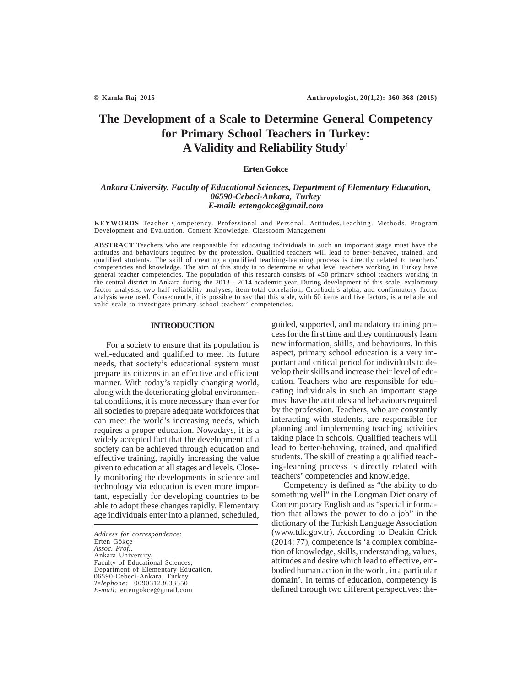# **The Development of a Scale to Determine General Competency for Primary School Teachers in Turkey: A Validity and Reliability Study1**

#### **Erten Gokce**

## *Ankara University, Faculty of Educational Sciences, Department of Elementary Education, 06590-Cebeci-Ankara, Turkey E-mail: ertengokce@gmail.com*

**KEYWORDS** Teacher Competency. Professional and Personal. Attitudes.Teaching. Methods. Program Development and Evaluation. Content Knowledge. Classroom Management

**ABSTRACT** Teachers who are responsible for educating individuals in such an important stage must have the attitudes and behaviours required by the profession. Qualified teachers will lead to better-behaved, trained, and qualified students. The skill of creating a qualified teaching-learning process is directly related to teachers' competencies and knowledge. The aim of this study is to determine at what level teachers working in Turkey have general teacher competencies. The population of this research consists of 450 primary school teachers working in the central district in Ankara during the 2013 - 2014 academic year. During development of this scale, exploratory factor analysis, two half reliability analyses, item-total correlation, Cronbach's alpha, and confirmatory factor analysis were used. Consequently, it is possible to say that this scale, with 60 items and five factors, is a reliable and valid scale to investigate primary school teachers' competencies.

#### **INTRODUCTION**

For a society to ensure that its population is well-educated and qualified to meet its future needs, that society's educational system must prepare its citizens in an effective and efficient manner. With today's rapidly changing world, along with the deteriorating global environmental conditions, it is more necessary than ever for all societies to prepare adequate workforces that can meet the world's increasing needs, which requires a proper education. Nowadays, it is a widely accepted fact that the development of a society can be achieved through education and effective training, rapidly increasing the value given to education at all stages and levels. Closely monitoring the developments in science and technology via education is even more important, especially for developing countries to be able to adopt these changes rapidly. Elementary age individuals enter into a planned, scheduled,

*Address for correspondence:* Erten Gökçe *Assoc. Prof.,* Ankara University, Faculty of Educational Sciences, Department of Elementary Education, 06590-Cebeci-Ankara, Turkey *Telephone:* 00903123633350 *E-mail:* ertengokce@gmail.com

guided, supported, and mandatory training process for the first time and they continuously learn new information, skills, and behaviours. In this aspect, primary school education is a very important and critical period for individuals to develop their skills and increase their level of education. Teachers who are responsible for educating individuals in such an important stage must have the attitudes and behaviours required by the profession. Teachers, who are constantly interacting with students, are responsible for planning and implementing teaching activities taking place in schools. Qualified teachers will lead to better-behaving, trained, and qualified students. The skill of creating a qualified teaching-learning process is directly related with teachers' competencies and knowledge.

Competency is defined as "the ability to do something well" in the Longman Dictionary of Contemporary English and as "special information that allows the power to do a job" in the dictionary of the Turkish Language Association (www.tdk.gov.tr). According to Deakin Crick (2014: 77), competence is 'a complex combination of knowledge, skills, understanding, values, attitudes and desire which lead to effective, embodied human action in the world, in a particular domain'. In terms of education, competency is defined through two different perspectives: the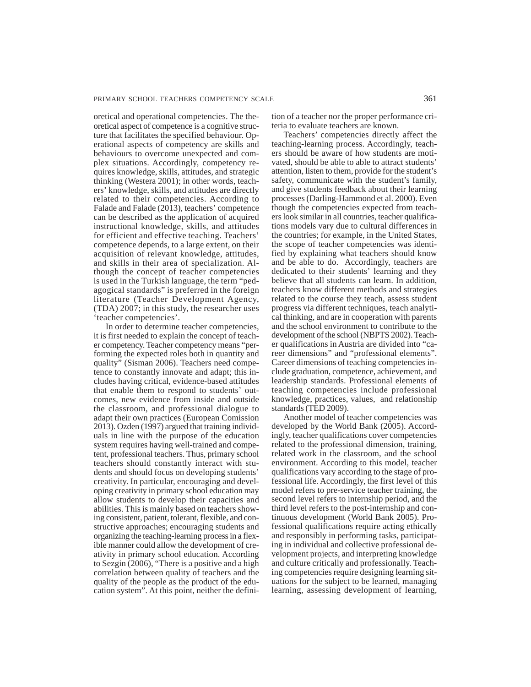oretical and operational competencies. The theoretical aspect of competence is a cognitive structure that facilitates the specified behaviour. Operational aspects of competency are skills and behaviours to overcome unexpected and complex situations. Accordingly, competency requires knowledge, skills, attitudes, and strategic thinking (Westera 2001); in other words, teachers' knowledge, skills, and attitudes are directly related to their competencies. According to Falade and Falade (2013), teachers' competence can be described as the application of acquired instructional knowledge, skills, and attitudes for efficient and effective teaching. Teachers' competence depends, to a large extent, on their acquisition of relevant knowledge, attitudes, and skills in their area of specialization. Although the concept of teacher competencies is used in the Turkish language, the term "pedagogical standards" is preferred in the foreign literature (Teacher Development Agency, (TDA) 2007; in this study, the researcher uses 'teacher competencies'.

In order to determine teacher competencies, it is first needed to explain the concept of teacher competency. Teacher competency means "performing the expected roles both in quantity and quality" (Sisman 2006). Teachers need competence to constantly innovate and adapt; this includes having critical, evidence-based attitudes that enable them to respond to students' outcomes, new evidence from inside and outside the classroom, and professional dialogue to adapt their own practices (European Comission 2013). Ozden (1997) argued that training individuals in line with the purpose of the education system requires having well-trained and competent, professional teachers. Thus, primary school teachers should constantly interact with students and should focus on developing students' creativity. In particular, encouraging and developing creativity in primary school education may allow students to develop their capacities and abilities. This is mainly based on teachers showing consistent, patient, tolerant, flexible, and constructive approaches; encouraging students and organizing the teaching-learning process in a flexible manner could allow the development of creativity in primary school education. According to Sezgin  $(2006)$ , "There is a positive and a high correlation between quality of teachers and the quality of the people as the product of the education system". At this point, neither the definition of a teacher nor the proper performance criteria to evaluate teachers are known.

Teachers' competencies directly affect the teaching-learning process. Accordingly, teachers should be aware of how students are motivated, should be able to able to attract students' attention, listen to them, provide for the student's safety, communicate with the student's family, and give students feedback about their learning processes (Darling-Hammond et al. 2000). Even though the competencies expected from teachers look similar in all countries, teacher qualifications models vary due to cultural differences in the countries; for example, in the United States, the scope of teacher competencies was identified by explaining what teachers should know and be able to do. Accordingly, teachers are dedicated to their students' learning and they believe that all students can learn. In addition, teachers know different methods and strategies related to the course they teach, assess student progress via different techniques, teach analytical thinking, and are in cooperation with parents and the school environment to contribute to the development of the school (NBPTS 2002). Teacher qualifications in Austria are divided into "career dimensions" and "professional elements". Career dimensions of teaching competencies include graduation, competence, achievement, and leadership standards. Professional elements of teaching competencies include professional knowledge, practices, values, and relationship standards (TED 2009).

Another model of teacher competencies was developed by the World Bank (2005). Accordingly, teacher qualifications cover competencies related to the professional dimension, training, related work in the classroom, and the school environment. According to this model, teacher qualifications vary according to the stage of professional life. Accordingly, the first level of this model refers to pre-service teacher training, the second level refers to internship period, and the third level refers to the post-internship and continuous development (World Bank 2005). Professional qualifications require acting ethically and responsibly in performing tasks, participating in individual and collective professional development projects, and interpreting knowledge and culture critically and professionally. Teaching competencies require designing learning situations for the subject to be learned, managing learning, assessing development of learning,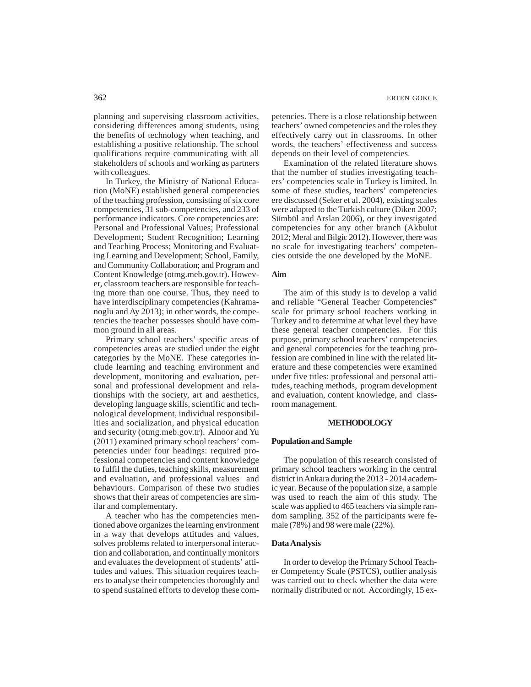planning and supervising classroom activities, considering differences among students, using the benefits of technology when teaching, and establishing a positive relationship. The school qualifications require communicating with all stakeholders of schools and working as partners with colleagues.

In Turkey, the Ministry of National Education (MoNE) established general competencies of the teaching profession, consisting of six core competencies, 31 sub-competencies, and 233 of performance indicators. Core competencies are: Personal and Professional Values; Professional Development; Student Recognition; Learning and Teaching Process; Monitoring and Evaluating Learning and Development; School, Family, and Community Collaboration; and Program and Content Knowledge (otmg.meb.gov.tr). However, classroom teachers are responsible for teaching more than one course. Thus, they need to have interdisciplinary competencies (Kahramanoglu and Ay 2013); in other words, the competencies the teacher possesses should have common ground in all areas.

Primary school teachers' specific areas of competencies areas are studied under the eight categories by the MoNE. These categories include learning and teaching environment and development, monitoring and evaluation, personal and professional development and relationships with the society, art and aesthetics, developing language skills, scientific and technological development, individual responsibilities and socialization, and physical education and security (otmg.meb.gov.tr). Alnoor and Yu (2011) examined primary school teachers' competencies under four headings: required professional competencies and content knowledge to fulfil the duties, teaching skills, measurement and evaluation, and professional values and behaviours. Comparison of these two studies shows that their areas of competencies are similar and complementary.

A teacher who has the competencies mentioned above organizes the learning environment in a way that develops attitudes and values, solves problems related to interpersonal interaction and collaboration, and continually monitors and evaluates the development of students' attitudes and values. This situation requires teachers to analyse their competencies thoroughly and to spend sustained efforts to develop these competencies. There is a close relationship between teachers' owned competencies and the roles they effectively carry out in classrooms. In other words, the teachers' effectiveness and success depends on their level of competencies.

Examination of the related literature shows that the number of studies investigating teachers' competencies scale in Turkey is limited. In some of these studies, teachers' competencies ere discussed (Seker et al. 2004), existing scales were adapted to the Turkish culture (Diken 2007; Sümbül and Arslan 2006), or they investigated competencies for any other branch (Akbulut 2012; Meral and Bilgic 2012). However, there was no scale for investigating teachers' competencies outside the one developed by the MoNE.

### **Aim**

The aim of this study is to develop a valid and reliable "General Teacher Competencies" scale for primary school teachers working in Turkey and to determine at what level they have these general teacher competencies. For this purpose, primary school teachers' competencies and general competencies for the teaching profession are combined in line with the related literature and these competencies were examined under five titles: professional and personal attitudes, teaching methods, program development and evaluation, content knowledge, and classroom management.

#### **METHODOLOGY**

#### **Population and Sample**

The population of this research consisted of primary school teachers working in the central district in Ankara during the 2013 - 2014 academic year. Because of the population size, a sample was used to reach the aim of this study. The scale was applied to 465 teachers via simple random sampling. 352 of the participants were female (78%) and 98 were male (22%).

#### **Data Analysis**

In order to develop the Primary School Teacher Competency Scale (PSTCS), outlier analysis was carried out to check whether the data were normally distributed or not. Accordingly, 15 ex-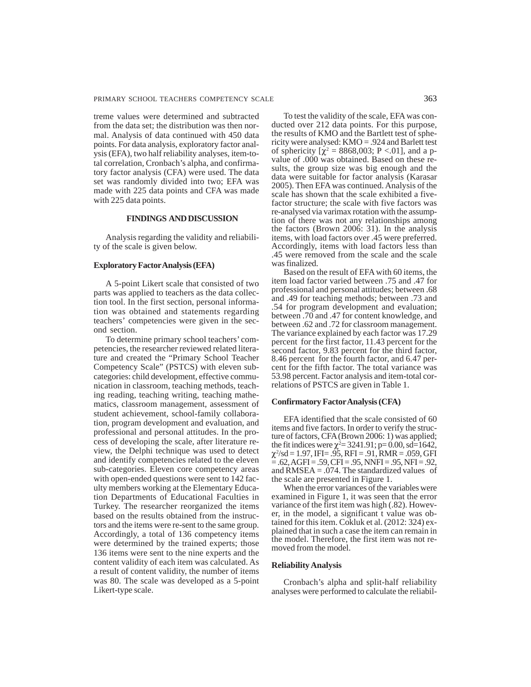treme values were determined and subtracted from the data set; the distribution was then normal. Analysis of data continued with 450 data points. For data analysis, exploratory factor analysis (EFA), two half reliability analyses, item-total correlation, Cronbach's alpha, and confirmatory factor analysis (CFA) were used. The data set was randomly divided into two; EFA was made with 225 data points and CFA was made with 225 data points.

#### **FINDINGS AND DISCUSSION**

Analysis regarding the validity and reliability of the scale is given below.

#### **Exploratory Factor Analysis (EFA)**

A 5-point Likert scale that consisted of two parts was applied to teachers as the data collection tool. In the first section, personal information was obtained and statements regarding teachers' competencies were given in the second section.

To determine primary school teachers' competencies, the researcher reviewed related literature and created the "Primary School Teacher Competency Scale" (PSTCS) with eleven subcategories: child development, effective communication in classroom, teaching methods, teaching reading, teaching writing, teaching mathematics, classroom management, assessment of student achievement, school-family collaboration, program development and evaluation, and professional and personal attitudes. In the process of developing the scale, after literature review, the Delphi technique was used to detect and identify competencies related to the eleven sub-categories. Eleven core competency areas with open-ended questions were sent to 142 faculty members working at the Elementary Education Departments of Educational Faculties in Turkey. The researcher reorganized the items based on the results obtained from the instructors and the items were re-sent to the same group. Accordingly, a total of 136 competency items were determined by the trained experts; those 136 items were sent to the nine experts and the content validity of each item was calculated. As a result of content validity, the number of items was 80. The scale was developed as a 5-point Likert-type scale.

To test the validity of the scale, EFA was conducted over 212 data points. For this purpose, the results of KMO and the Bartlett test of sphericity were analysed: KMO = .924 and Barlett test of sphericity  $[\chi^2 = 8868,003; P < .01]$ , and a pvalue of .000 was obtained. Based on these results, the group size was big enough and the data were suitable for factor analysis (Karasar 2005). Then EFA was continued. Analysis of the scale has shown that the scale exhibited a fivefactor structure; the scale with five factors was re-analysed via varimax rotation with the assumption of there was not any relationships among the factors (Brown 2006: 31). In the analysis items, with load factors over .45 were preferred. Accordingly, items with load factors less than .45 were removed from the scale and the scale was finalized.

Based on the result of EFA with 60 items, the item load factor varied between .75 and .47 for professional and personal attitudes; between .68 and .49 for teaching methods; between .73 and .54 for program development and evaluation; between .70 and .47 for content knowledge, and between .62 and .72 for classroom management. The variance explained by each factor was 17.29 percent for the first factor, 11.43 percent for the second factor, 9.83 percent for the third factor, 8.46 percent for the fourth factor, and 6.47 percent for the fifth factor. The total variance was 53.98 percent. Factor analysis and item-total correlations of PSTCS are given in Table 1.

#### **Confirmatory Factor Analysis (CFA)**

EFA identified that the scale consisted of 60 items and five factors. In order to verify the structure of factors, CFA (Brown 2006: 1) was applied; the fit indices were  $\chi^2 = 3241.91$ ; p= 0.00, sd=1642,  $\chi^2/\text{sd} = 1.97$ , IFI= .95, RFI = .91, RMR = .059, GFI  $=$  .62, AGFI = .59, CFI = .95, NNFI = .95, NFI = .92, and  $RMSEA = .074$ . The standardized values of the scale are presented in Figure 1.

When the error variances of the variables were examined in Figure 1, it was seen that the error variance of the first item was high (.82). However, in the model, a significant t value was obtained for this item. Cokluk et al. (2012: 324) explained that in such a case the item can remain in the model. Therefore, the first item was not removed from the model.

#### **Reliability Analysis**

Cronbach's alpha and split-half reliability analyses were performed to calculate the reliabil-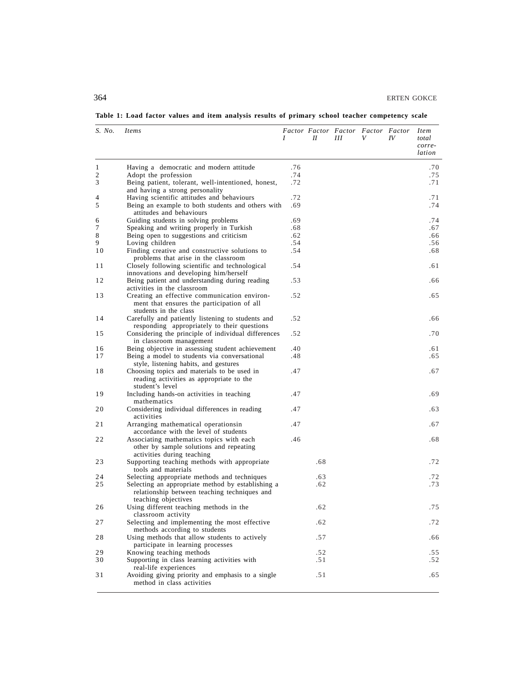| S. No.         | Items                                                                                                                    | I   | $_{II}$ | Factor Factor Factor Factor Factor<br>Ш | V | IV | <i>Item</i><br>total<br>corre-<br>lation |
|----------------|--------------------------------------------------------------------------------------------------------------------------|-----|---------|-----------------------------------------|---|----|------------------------------------------|
| $\mathbf{1}$   | Having a democratic and modern attitude                                                                                  | .76 |         |                                         |   |    | .70                                      |
| $\mathfrak{2}$ | Adopt the profession                                                                                                     | .74 |         |                                         |   |    | .75                                      |
| 3              | Being patient, tolerant, well-intentioned, honest,<br>and having a strong personality                                    | .72 |         |                                         |   |    | .71                                      |
| 4              | Having scientific attitudes and behaviours                                                                               | .72 |         |                                         |   |    | .71                                      |
| 5              | Being an example to both students and others with<br>attitudes and behaviours                                            | .69 |         |                                         |   |    | .74                                      |
| 6              | Guiding students in solving problems                                                                                     | .69 |         |                                         |   |    | .74                                      |
| 7              | Speaking and writing properly in Turkish                                                                                 | .68 |         |                                         |   |    | .67                                      |
| 8              | Being open to suggestions and criticism                                                                                  | .62 |         |                                         |   |    | .66                                      |
| 9              | Loving children                                                                                                          | .54 |         |                                         |   |    | .56                                      |
| 10             | Finding creative and constructive solutions to<br>problems that arise in the classroom                                   | .54 |         |                                         |   |    | .68                                      |
| 11             | Closely following scientific and technological<br>innovations and developing him/herself                                 | .54 |         |                                         |   |    | .61                                      |
| 12             | Being patient and understanding during reading<br>activities in the classroom                                            | .53 |         |                                         |   |    | .66                                      |
| 13             | Creating an effective communication environ-<br>ment that ensures the participation of all<br>students in the class      | .52 |         |                                         |   |    | .65                                      |
| 14             | Carefully and patiently listening to students and<br>responding appropriately to their questions                         | .52 |         |                                         |   |    | .66                                      |
| 15             | Considering the principle of individual differences<br>in classroom management                                           | .52 |         |                                         |   |    | .70                                      |
| 16             | Being objective in assessing student achievement                                                                         | .40 |         |                                         |   |    | .61                                      |
| 17             | Being a model to students via conversational<br>style, listening habits, and gestures                                    | .48 |         |                                         |   |    | .65                                      |
| 18             | Choosing topics and materials to be used in<br>reading activities as appropriate to the<br>student's level               | .47 |         |                                         |   |    | .67                                      |
| 19             | Including hands-on activities in teaching<br>mathematics                                                                 | .47 |         |                                         |   |    | .69                                      |
| 20             | Considering individual differences in reading<br>activities                                                              | .47 |         |                                         |   |    | .63                                      |
| 21             | Arranging mathematical operationsin<br>accordance with the level of students                                             | .47 |         |                                         |   |    | .67                                      |
| 22             | Associating mathematics topics with each<br>other by sample solutions and repeating<br>activities during teaching        | .46 |         |                                         |   |    | .68                                      |
| 23             | Supporting teaching methods with appropriate<br>tools and materials                                                      |     | .68     |                                         |   |    | .72                                      |
| 24             | Selecting appropriate methods and techniques                                                                             |     | .63     |                                         |   |    | .72                                      |
| 25             | Selecting an appropriate method by establishing a<br>relationship between teaching techniques and<br>teaching objectives |     | .62     |                                         |   |    | .73                                      |
| 26             | Using different teaching methods in the<br>classroom activity                                                            |     | .62     |                                         |   |    | .75                                      |
| 27             | Selecting and implementing the most effective<br>methods according to students                                           |     | .62     |                                         |   |    | .72                                      |
| 28             | Using methods that allow students to actively<br>participate in learning processes                                       |     | .57     |                                         |   |    | .66                                      |
| 29             | Knowing teaching methods                                                                                                 |     | .52     |                                         |   |    | .55                                      |
| 30             | Supporting in class learning activities with<br>real-life experiences                                                    |     | .51     |                                         |   |    | .52                                      |
| 31             | Avoiding giving priority and emphasis to a single                                                                        |     | .51     |                                         |   |    | .65                                      |

method in class activities

**Table 1: Load factor values and item analysis results of primary school teacher competency scale**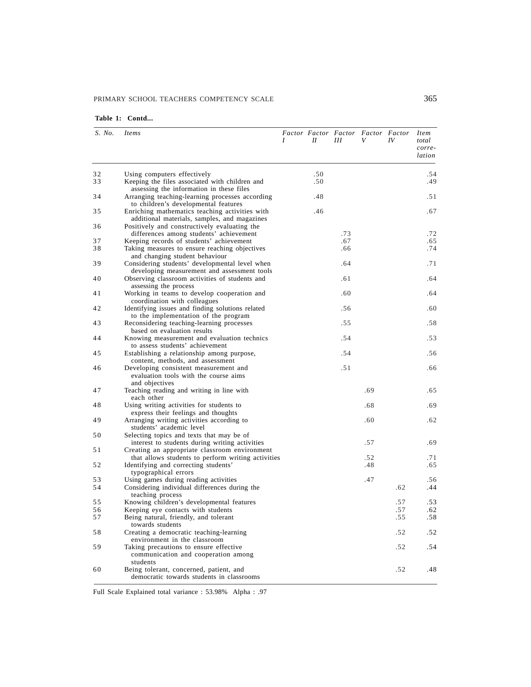# PRIMARY SCHOOL TEACHERS COMPETENCY SCALE 365

# **Table 1: Contd...**

| S. No. | Items                                                                                                              | Factor Factor Factor Factor Factor<br>I | $_{II}$ | Ш   | V          | IV  | <i>Item</i><br>total<br>corre-<br>lation |
|--------|--------------------------------------------------------------------------------------------------------------------|-----------------------------------------|---------|-----|------------|-----|------------------------------------------|
| 32     | Using computers effectively                                                                                        |                                         | .50     |     |            |     | .54                                      |
| 33     | Keeping the files associated with children and<br>assessing the information in these files                         |                                         | .50     |     |            |     | .49                                      |
| 34     | Arranging teaching-learning processes according<br>to children's developmental features                            |                                         | .48     |     |            |     | .51                                      |
| 35     | Enriching mathematics teaching activities with<br>additional materials, samples, and magazines                     |                                         | .46     |     |            |     | .67                                      |
| 36     | Positively and constructively evaluating the                                                                       |                                         |         | .73 |            |     | .72                                      |
| 37     | differences among students' achievement<br>Keeping records of students' achievement                                |                                         |         | .67 |            |     | .65                                      |
| 38     | Taking measures to ensure reaching objectives                                                                      |                                         |         | .66 |            |     | .74                                      |
|        | and changing student behaviour                                                                                     |                                         |         |     |            |     |                                          |
| 39     | Considering students' developmental level when<br>developing measurement and assessment tools                      |                                         |         | .64 |            |     | .71                                      |
| 40     | Observing classroom activities of students and<br>assessing the process                                            |                                         |         | .61 |            |     | .64                                      |
| 41     | Working in teams to develop cooperation and<br>coordination with colleagues                                        |                                         |         | .60 |            |     | .64                                      |
| 42     | Identifying issues and finding solutions related<br>to the implementation of the program                           |                                         |         | .56 |            |     | .60                                      |
| 43     | Reconsidering teaching-learning processes<br>based on evaluation results                                           |                                         |         | .55 |            |     | .58                                      |
| 44     | Knowing measurement and evaluation technics<br>to assess students' achievement                                     |                                         |         | .54 |            |     | .53                                      |
| 45     | Establishing a relationship among purpose,<br>content, methods, and assessment                                     |                                         |         | .54 |            |     | .56                                      |
| 46     | Developing consistent measurement and<br>evaluation tools with the course aims<br>and objectives                   |                                         |         | .51 |            |     | .66                                      |
| 47     | Teaching reading and writing in line with<br>each other                                                            |                                         |         |     | .69        |     | .65                                      |
| 48     | Using writing activities for students to<br>express their feelings and thoughts                                    |                                         |         |     | .68        |     | .69                                      |
| 49     | Arranging writing activities according to<br>students' academic level                                              |                                         |         |     | .60        |     | .62                                      |
| 50     | Selecting topics and texts that may be of<br>interest to students during writing activities                        |                                         |         |     | .57        |     | .69                                      |
| 51     | Creating an appropriate classroom environment                                                                      |                                         |         |     |            |     |                                          |
| 52     | that allows students to perform writing activities<br>Identifying and correcting students'<br>typographical errors |                                         |         |     | .52<br>.48 |     | .71<br>.65                               |
| 53     | Using games during reading activities                                                                              |                                         |         |     | .47        |     | .56                                      |
| 54     | Considering individual differences during the<br>teaching process                                                  |                                         |         |     |            | .62 | .44                                      |
| 55     | Knowing children's developmental features                                                                          |                                         |         |     |            | .57 | .53                                      |
| 56     | Keeping eye contacts with students                                                                                 |                                         |         |     |            | .57 | .62                                      |
| 57     | Being natural, friendly, and tolerant<br>towards students                                                          |                                         |         |     |            | .55 | .58                                      |
| 58     | Creating a democratic teaching-learning<br>environment in the classroom                                            |                                         |         |     |            | .52 | .52                                      |
| 59     | Taking precautions to ensure effective<br>communication and cooperation among<br>students                          |                                         |         |     |            | .52 | .54                                      |
| 60     | Being tolerant, concerned, patient, and<br>democratic towards students in classrooms                               |                                         |         |     |            | .52 | .48                                      |

Full Scale Explained total variance : 53.98% Alpha : .97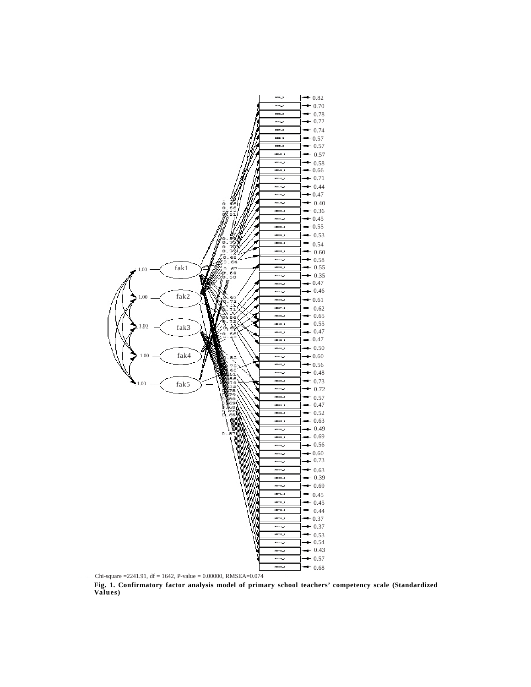

**Fig. 1. Confirmatory factor analysis model of primary school teachers' competency scale (Standardized Values)**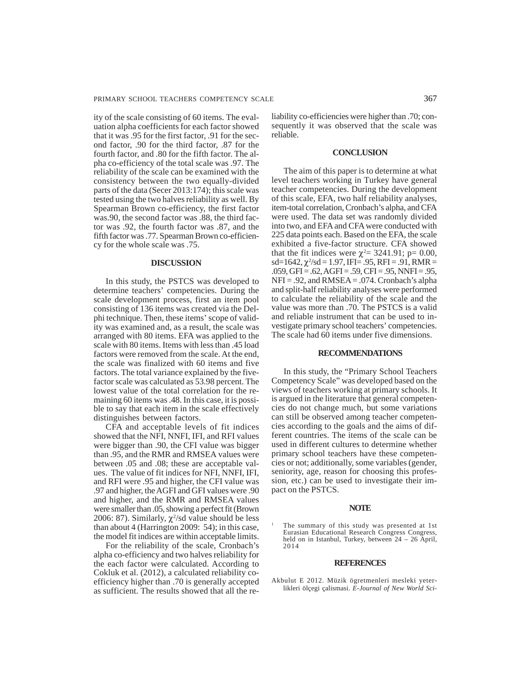ity of the scale consisting of 60 items. The evaluation alpha coefficients for each factor showed that it was .95 for the first factor, .91 for the second factor, .90 for the third factor, .87 for the fourth factor, and .80 for the fifth factor. The alpha co-efficiency of the total scale was .97. The reliability of the scale can be examined with the consistency between the two equally-divided parts of the data (Secer 2013:174); this scale was tested using the two halves reliability as well. By Spearman Brown co-efficiency, the first factor was.90, the second factor was .88, the third factor was .92, the fourth factor was .87, and the fifth factor was .77. Spearman Brown co-efficiency for the whole scale was .75.

#### **DISCUSSION**

In this study, the PSTCS was developed to determine teachers' competencies. During the scale development process, first an item pool consisting of 136 items was created via the Delphi technique. Then, these items' scope of validity was examined and, as a result, the scale was arranged with 80 items. EFA was applied to the scale with 80 items. Items with less than .45 load factors were removed from the scale. At the end, the scale was finalized with 60 items and five factors. The total variance explained by the fivefactor scale was calculated as 53.98 percent. The lowest value of the total correlation for the remaining 60 items was .48. In this case, it is possible to say that each item in the scale effectively distinguishes between factors.

CFA and acceptable levels of fit indices showed that the NFI, NNFI, IFI, and RFI values were bigger than .90, the CFI value was bigger than .95, and the RMR and RMSEA values were between .05 and .08; these are acceptable values. The value of fit indices for NFI, NNFI, IFI, and RFI were .95 and higher, the CFI value was .97 and higher, the AGFI and GFI values were .90 and higher, and the RMR and RMSEA values were smaller than .05, showing a perfect fit (Brown 2006: 87). Similarly,  $\chi^2$ /sd value should be less than about 4 (Harrington 2009: 54); in this case, the model fit indices are within acceptable limits.

For the reliability of the scale, Cronbach's alpha co-efficiency and two halves reliability for the each factor were calculated. According to Cokluk et al. (2012), a calculated reliability coefficiency higher than .70 is generally accepted as sufficient. The results showed that all the reliability co-efficiencies were higher than .70; consequently it was observed that the scale was reliable.

#### **CONCLUSION**

The aim of this paper is to determine at what level teachers working in Turkey have general teacher competencies. During the development of this scale, EFA, two half reliability analyses, item-total correlation, Cronbach's alpha, and CFA were used. The data set was randomly divided into two, and EFA and CFA were conducted with 225 data points each. Based on the EFA, the scale exhibited a five-factor structure. CFA showed that the fit indices were  $\chi^2$  = 3241.91; p = 0.00,  $sd = 1642$ ,  $\chi^2$ /sd = 1.97, IFI= .95, RFI = .91, RMR =  $.059, \text{GFI} = .62, \text{AGFI} = .59, \text{CFI} = .95, \text{NNFI} = .95,$ NFI = .92, and RMSEA = .074. Cronbach's alpha and split-half reliability analyses were performed to calculate the reliability of the scale and the value was more than .70. The PSTCS is a valid and reliable instrument that can be used to investigate primary school teachers' competencies. The scale had 60 items under five dimensions.

#### **RECOMMENDATIONS**

In this study, the "Primary School Teachers Competency Scale" was developed based on the views of teachers working at primary schools. It is argued in the literature that general competencies do not change much, but some variations can still be observed among teacher competencies according to the goals and the aims of different countries. The items of the scale can be used in different cultures to determine whether primary school teachers have these competencies or not; additionally, some variables (gender, seniority, age, reason for choosing this profession, etc.) can be used to investigate their impact on the PSTCS.

#### **NOTE**

The summary of this study was presented at 1st Eurasian Educational Research Congress Congress, held on in Istanbul, Turkey, between 24 – 26 April, 2014

#### **REFERENCES**

Akbulut E 2012. Müzik ögretmenleri mesleki yeterlikleri ölçegi çalismasi. *E-Journal of New World Sci-*